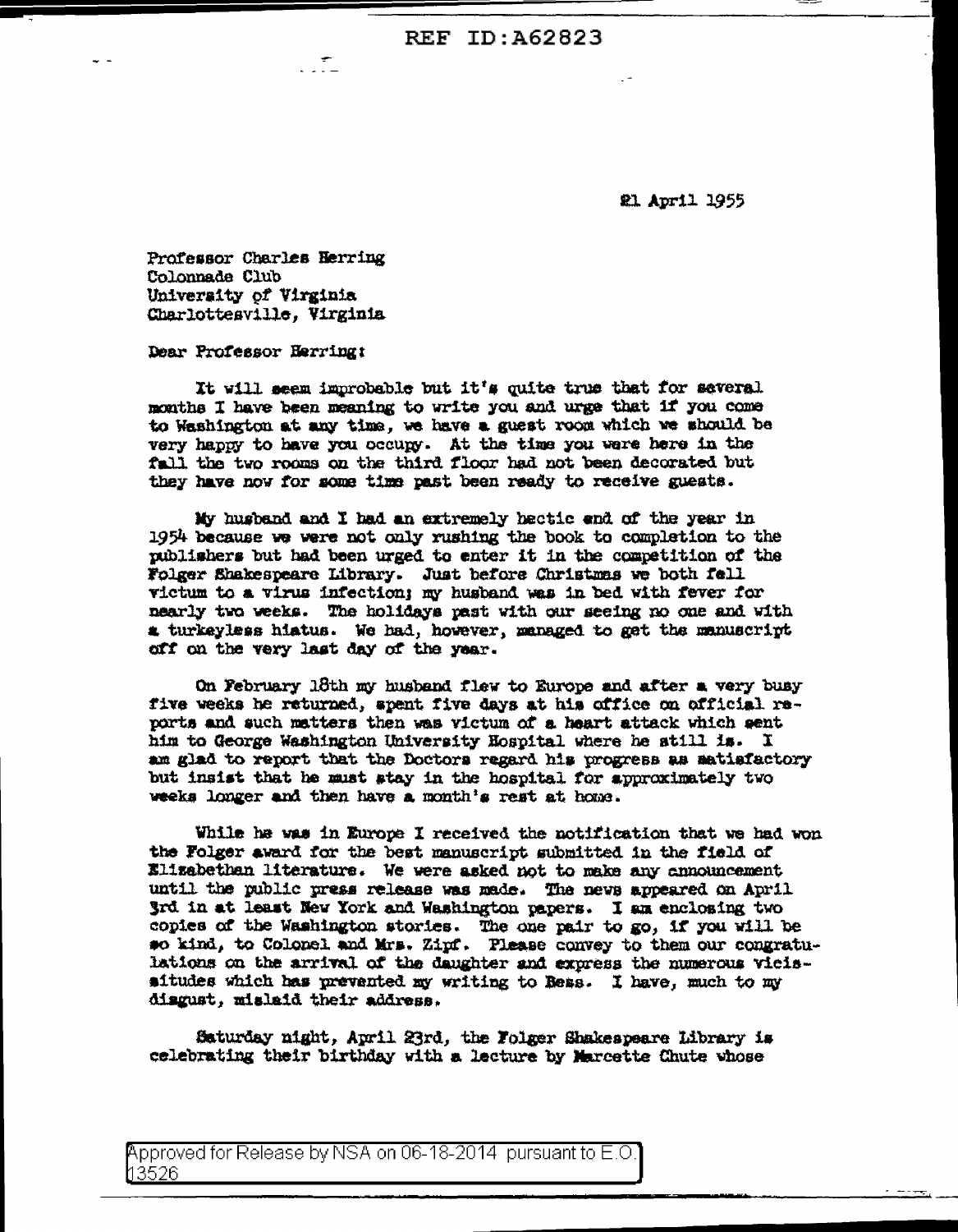**REF ID: A62823** 

**21 April 1955** 

Professor Charles Herring Colonnade Club University of Virginia Charlottesville, Virginia

 $\mathcal{L}$ 

Dear Professor Herring:

It will seem improbable but it's quite true that for several months I have been meaning to write you and urge that if you come to Washington at any time, we have a guest room which we should be very happy to have you occupy. At the time you were here in the fall the two rooms on the third floor had not been decorated but they have now for some time past been ready to receive guests.

My husband and I had an extremely hectic end of the year in 1954 because we were not only rushing the book to completion to the publishers but had been urged to enter it in the competition of the Folger Shakespeare Library. Just before Christmas we both fell victum to a virus infection; my husband was in bed with fever for nearly two weeks. The holidays past with our seeing no one and with a turkeyless hiatus. We had, however, managed to get the manuscript off on the very last day of the year.

On February 18th my husband flew to Europe and after a very busy five weeks he returned, spent five days at his office on official reports and such matters then was victum of a heart attack which sent him to George Washington University Hospital where he still is. I am glad to report that the Doctors regard his progress as satisfactory but insist that he must stay in the hospital for approximately two weeks longer and then have a month's rest at home.

While he was in Europe I received the notification that we had won the Folger award for the best manuscript submitted in the field of Elizabethan literature. We were asked not to make any announcement until the public press release was made. The news appeared on April 3rd in at least New York and Washington papers. I am enclosing two copies of the Washington stories. The one pair to go, if you will be so kind, to Colonel and Mrs. Zipf. Please convey to them our congratulations on the arrival of the daughter and express the numerous vicissitudes which has prevented my writing to Bess. I have, much to my disgust, mislaid their address.

Saturday night, April 23rd, the Folger Shakespeare Library is celebrating their birthday with a lecture by Marcette Chute whose

<code>Approved</code> for Release by NSA on 06-18-2014  $\,$  pursuant to E.O  $\,$ 13526